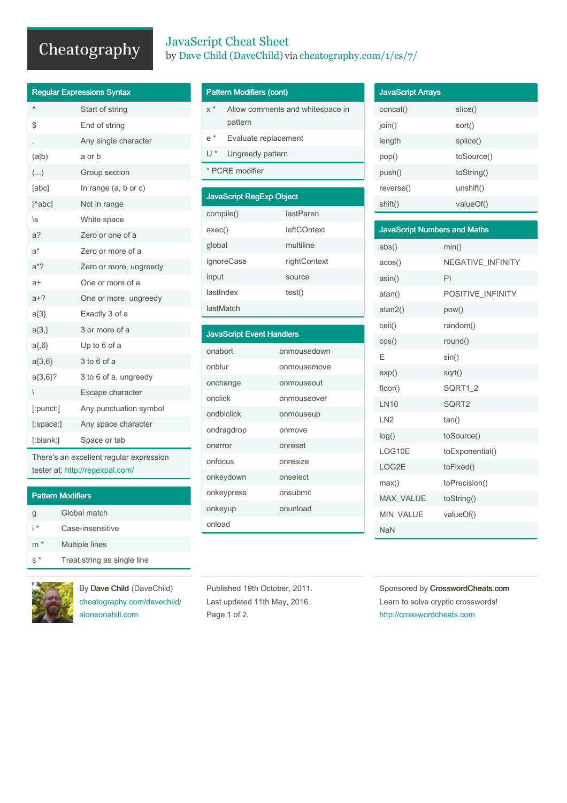## Cheatography

| <b>JavaScript Cheat Sheet</b>                                    |
|------------------------------------------------------------------|
| by Dave Child (DaveChild) via cheatography.com/ $1/\text{cs}/7/$ |

| <b>Regular Expressions Syntax</b> |                        |  |
|-----------------------------------|------------------------|--|
| Λ                                 | Start of string        |  |
| \$                                | End of string          |  |
|                                   | Any single character   |  |
| (a b)                             | a or b                 |  |
| ()                                | Group section          |  |
| [abc]                             | In range (a, b or c)   |  |
| $[^\text{A}abc]$                  | Not in range           |  |
| \s                                | White space            |  |
| a?                                | Zero or one of a       |  |
| a*                                | Zero or more of a      |  |
| $a^*?$                            | Zero or more, ungreedy |  |
| a+                                | One or more of a       |  |
| $a+?$                             | One or more, ungreedy  |  |
| $a\{3\}$                          | Exactly 3 of a         |  |
| $a\{3, \}$                        | 3 or more of a         |  |
| $a\{0,6\}$                        | Up to 6 of a           |  |
| $a\{3,6\}$                        | 3 to 6 of a            |  |
| a{3,6}?                           | 3 to 6 of a, ungreedy  |  |
| $\overline{\phantom{a}}$          | Escape character       |  |
| [:punct:]                         | Any punctuation symbol |  |
| $[$ :space: $]$                   | Any space character    |  |
| [:blank:]                         | Space or tab           |  |

There's an excellent regular expression tester at: <http://regexpal.com/>

| <b>Pattern Modifiers</b> |                             |  |
|--------------------------|-----------------------------|--|
| g                        | Global match                |  |
| i*                       | Case-insensitive            |  |
| $\ast$<br>m              | <b>Multiple lines</b>       |  |
|                          | Treat string as single line |  |



By Dave Child (DaveChild) [cheatography.com/davechild/](http://www.cheatography.com/davechild/) [aloneonahill.com](https://aloneonahill.com)

## Pattern Modifiers (cont)

lastMatch

| $x^*$                           | pattern              | Allow comments and whitespace in |
|---------------------------------|----------------------|----------------------------------|
| $e^*$                           | Evaluate replacement |                                  |
| $\mathsf{U}^*$                  | Ungreedy pattern     |                                  |
| * PCRE modifier                 |                      |                                  |
|                                 |                      |                                  |
| <b>JavaScript RegExp Object</b> |                      |                                  |
| compile()                       |                      | lastParen                        |
| exec()                          |                      | <b>leftCOntext</b>               |
| global                          |                      | multiline                        |
|                                 | ignoreCase           | rightContext                     |
| input                           |                      | source                           |
| lastIndex                       |                      | test()                           |

| <b>JavaScript Event Handlers</b> |             |  |
|----------------------------------|-------------|--|
| onabort                          | onmousedown |  |
| onblur                           | onmousemove |  |
| onchange                         | onmouseout  |  |
| onclick                          | onmouseover |  |
| ondblclick                       | onmouseup   |  |
| ondragdrop                       | onmove      |  |
| onerror                          | onreset     |  |
| onfocus                          | onresize    |  |
| onkeydown                        | onselect    |  |
| onkeypress                       | onsubmit    |  |
| onkeyup                          | onunload    |  |
| onload                           |             |  |

| <b>JavaScript Arrays</b> |            |
|--------------------------|------------|
| concat()                 | slice()    |
| join()                   | sort()     |
| length                   | splice()   |
| pop()                    | toSource() |
| push()                   | toString() |
| reverse()                | unshift()  |
| shift()                  | valueOf()  |

| <b>JavaScript Numbers and Maths</b> |                          |  |
|-------------------------------------|--------------------------|--|
| abs()                               | min()                    |  |
| acos()                              | <b>NEGATIVE INFINITY</b> |  |
| asin()                              | PI                       |  |
| atan()                              | POSITIVE INFINITY        |  |
| atan2()                             | pow()                    |  |
| ceil()                              | random()                 |  |
| cos()                               | round()                  |  |
| F                                   | sin()                    |  |
| exp()                               | sqrt()                   |  |
| floor()                             | SQRT1 2                  |  |
| <b>LN10</b>                         | SQRT2                    |  |
| LN <sub>2</sub>                     | tan()                    |  |
| log()                               | toSource()               |  |
| LOG10E                              | toExponential()          |  |
| LOG2E                               | toFixed()                |  |
| max()                               | toPrecision()            |  |
| MAX_VALUE                           | toString()               |  |
| <b>MIN VALUE</b>                    | valueOf()                |  |
| <b>NaN</b>                          |                          |  |

Published 19th October, 2011. Last updated 11th May, 2016. Page 1 of 2.

Sponsored by CrosswordCheats.com Learn to solve cryptic crosswords! <http://crosswordcheats.com>